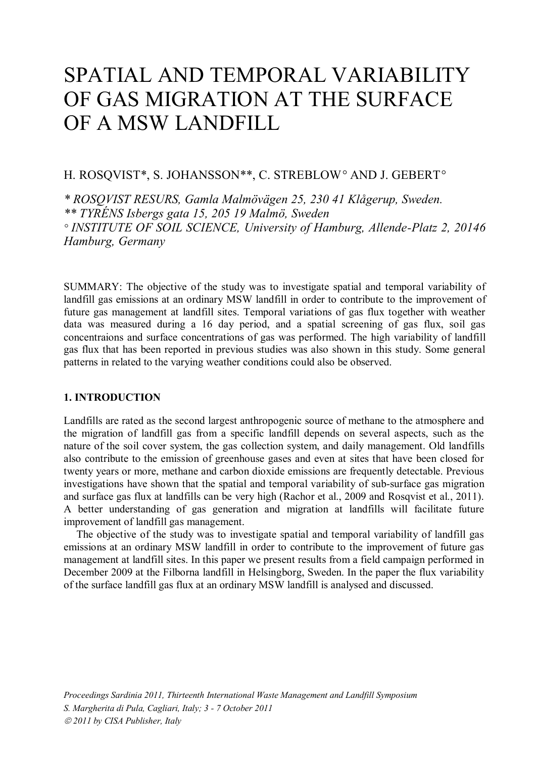# SPATIAL AND TEMPORAL VARIABILITY OF GAS MIGRATION AT THE SURFACE OF A MSW LANDFILL

## H. ROSQVIST\*, S. JOHANSSON\*\*, C. STREBLOW*°* AND J. GEBERT*°*

*\* ROSQVIST RESURS, Gamla Malmövägen 25, 230 41 Klågerup, Sweden. \*\* TYRÉNS Isbergs gata 15, 205 19 Malmö, Sweden ° INSTITUTE OF SOIL SCIENCE, University of Hamburg, Allende-Platz 2, 20146 Hamburg, Germany*

SUMMARY: The objective of the study was to investigate spatial and temporal variability of landfill gas emissions at an ordinary MSW landfill in order to contribute to the improvement of future gas management at landfill sites. Temporal variations of gas flux together with weather data was measured during a 16 day period, and a spatial screening of gas flux, soil gas concentraions and surface concentrations of gas was performed. The high variability of landfill gas flux that has been reported in previous studies was also shown in this study. Some general patterns in related to the varying weather conditions could also be observed.

## **1. INTRODUCTION**

Landfills are rated as the second largest anthropogenic source of methane to the atmosphere and the migration of landfill gas from a specific landfill depends on several aspects, such as the nature of the soil cover system, the gas collection system, and daily management. Old landfills also contribute to the emission of greenhouse gases and even at sites that have been closed for twenty years or more, methane and carbon dioxide emissions are frequently detectable. Previous investigations have shown that the spatial and temporal variability of sub-surface gas migration and surface gas flux at landfills can be very high (Rachor et al., 2009 and Rosqvist et al., 2011). A better understanding of gas generation and migration at landfills will facilitate future improvement of landfill gas management.

The objective of the study was to investigate spatial and temporal variability of landfill gas emissions at an ordinary MSW landfill in order to contribute to the improvement of future gas management at landfill sites. In this paper we present results from a field campaign performed in December 2009 at the Filborna landfill in Helsingborg, Sweden. In the paper the flux variability of the surface landfill gas flux at an ordinary MSW landfill is analysed and discussed.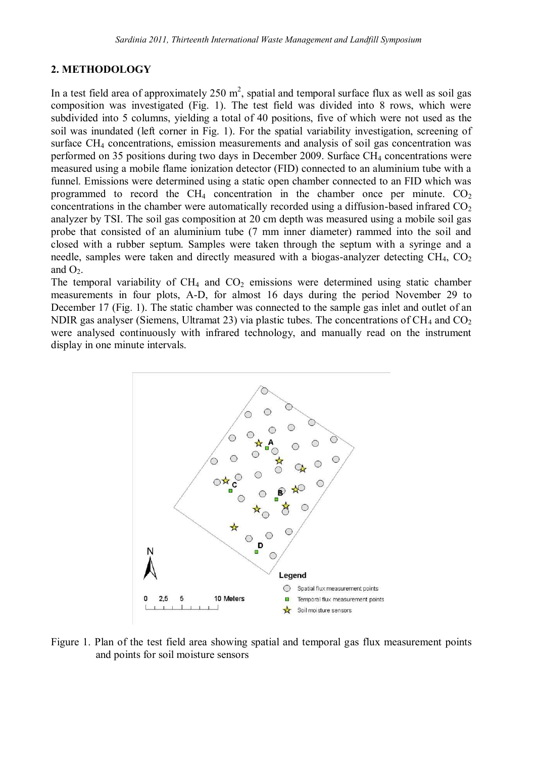## **2. METHODOLOGY**

In a test field area of approximately 250  $m^2$ , spatial and temporal surface flux as well as soil gas composition was investigated (Fig. 1). The test field was divided into 8 rows, which were subdivided into 5 columns, yielding a total of 40 positions, five of which were not used as the soil was inundated (left corner in Fig. 1). For the spatial variability investigation, screening of surface CH<sup>4</sup> concentrations, emission measurements and analysis of soil gas concentration was performed on 35 positions during two days in December 2009. Surface CH<sup>4</sup> concentrations were measured using a mobile flame ionization detector (FID) connected to an aluminium tube with a funnel. Emissions were determined using a static open chamber connected to an FID which was programmed to record the CH<sub>4</sub> concentration in the chamber once per minute.  $CO<sub>2</sub>$ concentrations in the chamber were automatically recorded using a diffusion-based infrared  $CO<sub>2</sub>$ analyzer by TSI. The soil gas composition at 20 cm depth was measured using a mobile soil gas probe that consisted of an aluminium tube (7 mm inner diameter) rammed into the soil and closed with a rubber septum. Samples were taken through the septum with a syringe and a needle, samples were taken and directly measured with a biogas-analyzer detecting  $CH_4$ ,  $CO_2$ and  $O<sub>2</sub>$ .

The temporal variability of  $CH_4$  and  $CO_2$  emissions were determined using static chamber measurements in four plots, A-D, for almost 16 days during the period November 29 to December 17 (Fig. 1). The static chamber was connected to the sample gas inlet and outlet of an NDIR gas analyser (Siemens, Ultramat 23) via plastic tubes. The concentrations of  $CH_4$  and  $CO_2$ were analysed continuously with infrared technology, and manually read on the instrument display in one minute intervals.



Figure 1. Plan of the test field area showing spatial and temporal gas flux measurement points and points for soil moisture sensors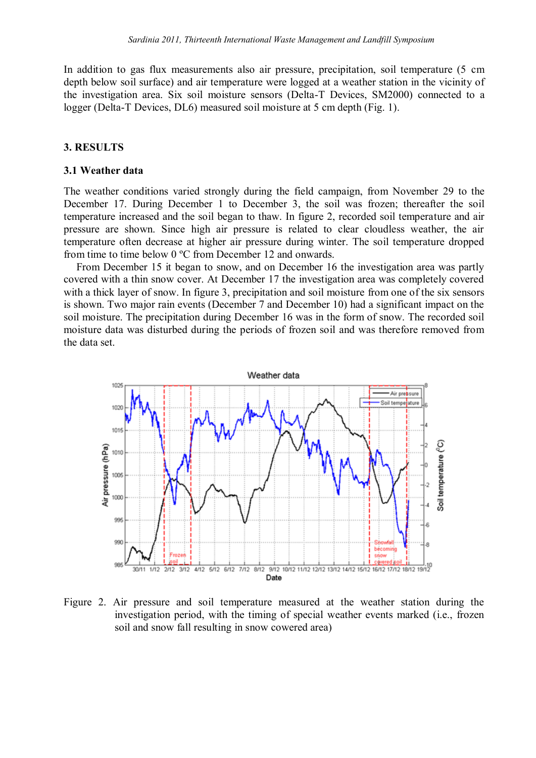In addition to gas flux measurements also air pressure, precipitation, soil temperature (5 cm depth below soil surface) and air temperature were logged at a weather station in the vicinity of the investigation area. Six soil moisture sensors (Delta-T Devices, SM2000) connected to a logger (Delta-T Devices, DL6) measured soil moisture at 5 cm depth (Fig. 1).

## **3. RESULTS**

#### **3.1 Weather data**

The weather conditions varied strongly during the field campaign, from November 29 to the December 17. During December 1 to December 3, the soil was frozen; thereafter the soil temperature increased and the soil began to thaw. In figure 2, recorded soil temperature and air pressure are shown. Since high air pressure is related to clear cloudless weather, the air temperature often decrease at higher air pressure during winter. The soil temperature dropped from time to time below 0 ºC from December 12 and onwards.

From December 15 it began to snow, and on December 16 the investigation area was partly covered with a thin snow cover. At December 17 the investigation area was completely covered with a thick layer of snow. In figure 3, precipitation and soil moisture from one of the six sensors is shown. Two major rain events (December 7 and December 10) had a significant impact on the soil moisture. The precipitation during December 16 was in the form of snow. The recorded soil moisture data was disturbed during the periods of frozen soil and was therefore removed from the data set.



Figure 2. Air pressure and soil temperature measured at the weather station during the investigation period, with the timing of special weather events marked (i.e., frozen soil and snow fall resulting in snow cowered area)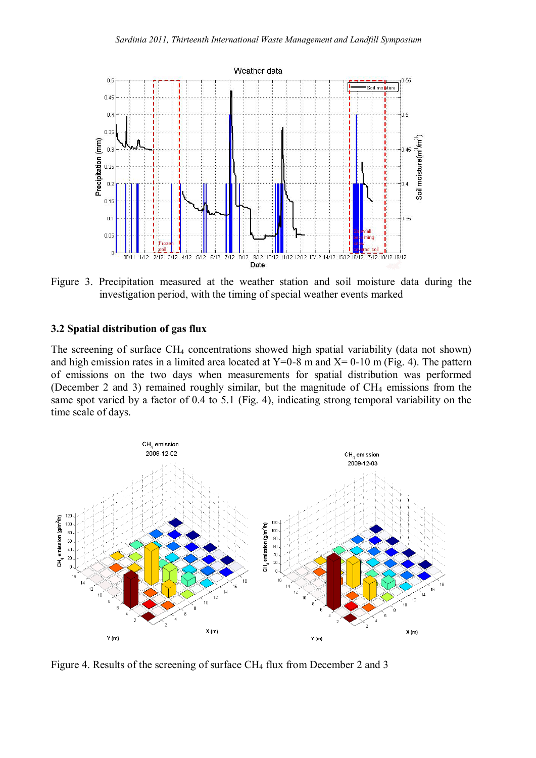

Figure 3. Precipitation measured at the weather station and soil moisture data during the investigation period, with the timing of special weather events marked

### **3.2 Spatial distribution of gas flux**

The screening of surface CH<sub>4</sub> concentrations showed high spatial variability (data not shown) and high emission rates in a limited area located at  $Y=0-8$  m and  $X=0-10$  m (Fig. 4). The pattern of emissions on the two days when measurements for spatial distribution was performed (December 2 and 3) remained roughly similar, but the magnitude of  $CH_4$  emissions from the same spot varied by a factor of 0.4 to 5.1 (Fig. 4), indicating strong temporal variability on the time scale of days.



Figure 4. Results of the screening of surface CH<sub>4</sub> flux from December 2 and 3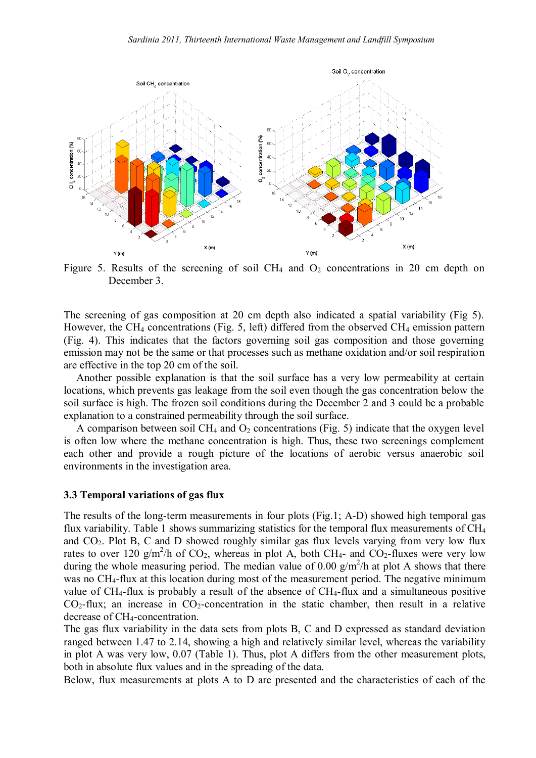

Figure 5. Results of the screening of soil CH<sub>4</sub> and  $O_2$  concentrations in 20 cm depth on December 3.

The screening of gas composition at 20 cm depth also indicated a spatial variability (Fig 5). However, the CH<sub>4</sub> concentrations (Fig. 5, left) differed from the observed CH<sub>4</sub> emission pattern (Fig. 4). This indicates that the factors governing soil gas composition and those governing emission may not be the same or that processes such as methane oxidation and/or soil respiration are effective in the top 20 cm of the soil.

Another possible explanation is that the soil surface has a very low permeability at certain locations, which prevents gas leakage from the soil even though the gas concentration below the soil surface is high. The frozen soil conditions during the December 2 and 3 could be a probable explanation to a constrained permeability through the soil surface.

A comparison between soil CH<sub>4</sub> and  $O_2$  concentrations (Fig. 5) indicate that the oxygen level is often low where the methane concentration is high. Thus, these two screenings complement each other and provide a rough picture of the locations of aerobic versus anaerobic soil environments in the investigation area.

#### **3.3 Temporal variations of gas flux**

The results of the long-term measurements in four plots (Fig.1; A-D) showed high temporal gas flux variability. Table 1 shows summarizing statistics for the temporal flux measurements of CH<sup>4</sup> and  $CO<sub>2</sub>$ . Plot B, C and D showed roughly similar gas flux levels varying from very low flux rates to over 120 g/m<sup>2</sup>/h of CO<sub>2</sub>, whereas in plot A, both CH<sub>4</sub>- and CO<sub>2</sub>-fluxes were very low during the whole measuring period. The median value of 0.00  $g/m^2/h$  at plot A shows that there was no CH<sub>4</sub>-flux at this location during most of the measurement period. The negative minimum value of  $CH_4$ -flux is probably a result of the absence of  $CH_4$ -flux and a simultaneous positive  $CO<sub>2</sub>$ -flux; an increase in  $CO<sub>2</sub>$ -concentration in the static chamber, then result in a relative decrease of CH<sub>4</sub>-concentration.

The gas flux variability in the data sets from plots B, C and D expressed as standard deviation ranged between 1.47 to 2.14, showing a high and relatively similar level, whereas the variability in plot A was very low, 0.07 (Table 1). Thus, plot A differs from the other measurement plots, both in absolute flux values and in the spreading of the data.

Below, flux measurements at plots A to D are presented and the characteristics of each of the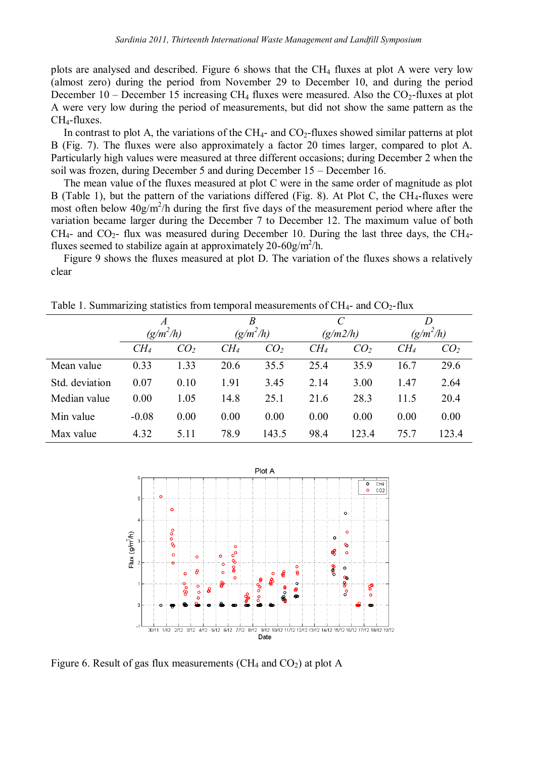plots are analysed and described. Figure 6 shows that the  $CH_4$  fluxes at plot A were very low (almost zero) during the period from November 29 to December 10, and during the period December 10 – December 15 increasing CH<sub>4</sub> fluxes were measured. Also the CO<sub>2</sub>-fluxes at plot A were very low during the period of measurements, but did not show the same pattern as the CH4-fluxes.

In contrast to plot A, the variations of the  $CH_{4}$ - and  $CO_{2}$ -fluxes showed similar patterns at plot B (Fig. 7). The fluxes were also approximately a factor 20 times larger, compared to plot A. Particularly high values were measured at three different occasions; during December 2 when the soil was frozen, during December 5 and during December 15 – December 16.

The mean value of the fluxes measured at plot C were in the same order of magnitude as plot B (Table 1), but the pattern of the variations differed (Fig. 8). At Plot C, the CH<sub>4</sub>-fluxes were most often below  $40g/m^2/h$  during the first five days of the measurement period where after the variation became larger during the December 7 to December 12. The maximum value of both CH<sub>4</sub>- and CO<sub>2</sub>- flux was measured during December 10. During the last three days, the CH<sub>4</sub>fluxes seemed to stabilize again at approximately 20-60g/m<sup>2</sup>/h.

Figure 9 shows the fluxes measured at plot D. The variation of the fluxes shows a relatively clear

|                | $\boldsymbol{A}$<br>$(g/m^2/h)$ |                 | $\boldsymbol{B}$<br>$(g/m^2/h)$ |                 | $\overline{C}$<br>(g/m2/h) |                 | $(g/m^2/h)$     |                 |
|----------------|---------------------------------|-----------------|---------------------------------|-----------------|----------------------------|-----------------|-----------------|-----------------|
|                |                                 |                 |                                 |                 |                            |                 |                 |                 |
|                | CH <sub>4</sub>                 | CO <sub>2</sub> | $CH_4$                          | CO <sub>2</sub> | CH <sub>4</sub>            | CO <sub>2</sub> | CH <sub>4</sub> | CO <sub>2</sub> |
| Mean value     | 0.33                            | 1.33            | 20.6                            | 35.5            | 25.4                       | 35.9            | 16.7            | 29.6            |
| Std. deviation | 0.07                            | 0.10            | 1.91                            | 3.45            | 2.14                       | 3.00            | 1.47            | 2.64            |
| Median value   | 0.00                            | 1.05            | 14.8                            | 25.1            | 21.6                       | 28.3            | 11.5            | 20.4            |
| Min value      | $-0.08$                         | 0.00            | 0.00                            | 0.00            | 0.00                       | 0.00            | 0.00            | 0.00            |
| Max value      | 4.32                            | 5.11            | 78.9                            | 143.5           | 98.4                       | 123.4           | 75.7            | 123.4           |

Table 1. Summarizing statistics from temporal measurements of  $CH_{4}$ - and  $CO_{2}$ -flux



Figure 6. Result of gas flux measurements ( $CH_4$  and  $CO_2$ ) at plot A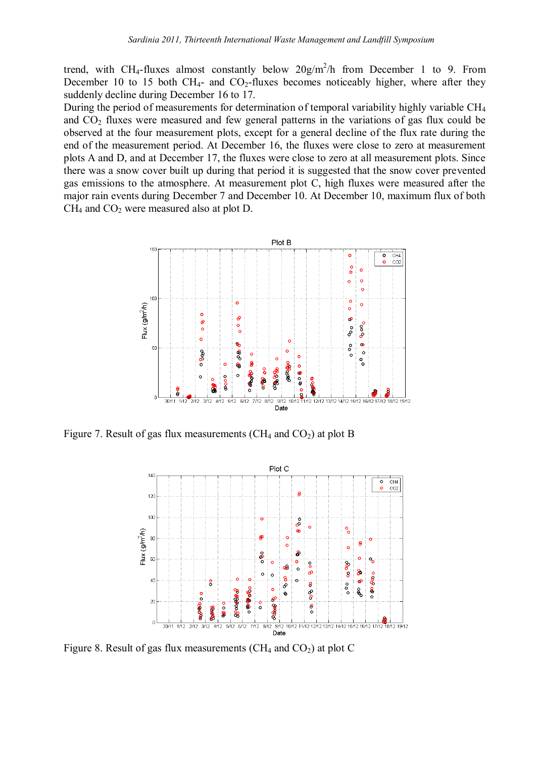trend, with CH<sub>4</sub>-fluxes almost constantly below  $20g/m^2/h$  from December 1 to 9. From December 10 to 15 both CH<sub>4</sub>- and CO<sub>2</sub>-fluxes becomes noticeably higher, where after they suddenly decline during December 16 to 17.

During the period of measurements for determination of temporal variability highly variable CH<sup>4</sup> and  $CO<sub>2</sub>$  fluxes were measured and few general patterns in the variations of gas flux could be observed at the four measurement plots, except for a general decline of the flux rate during the end of the measurement period. At December 16, the fluxes were close to zero at measurement plots A and D, and at December 17, the fluxes were close to zero at all measurement plots. Since there was a snow cover built up during that period it is suggested that the snow cover prevented gas emissions to the atmosphere. At measurement plot C, high fluxes were measured after the major rain events during December 7 and December 10. At December 10, maximum flux of both CH<sup>4</sup> and CO<sup>2</sup> were measured also at plot D.



Figure 7. Result of gas flux measurements ( $CH_4$  and  $CO_2$ ) at plot B



Figure 8. Result of gas flux measurements ( $CH<sub>4</sub>$  and  $CO<sub>2</sub>$ ) at plot C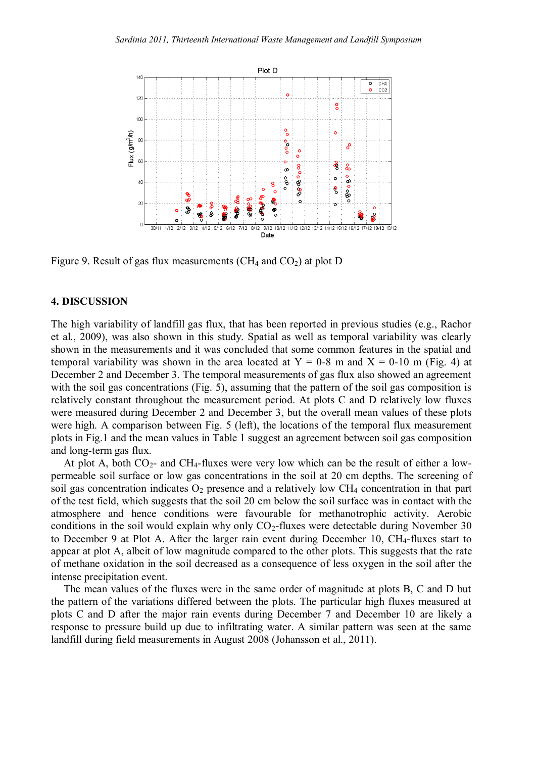

Figure 9. Result of gas flux measurements  $(CH<sub>4</sub>$  and  $CO<sub>2</sub>)$  at plot D

## **4. DISCUSSION**

The high variability of landfill gas flux, that has been reported in previous studies (e.g., Rachor et al., 2009), was also shown in this study. Spatial as well as temporal variability was clearly shown in the measurements and it was concluded that some common features in the spatial and temporal variability was shown in the area located at  $Y = 0.8$  m and  $X = 0.10$  m (Fig. 4) at December 2 and December 3. The temporal measurements of gas flux also showed an agreement with the soil gas concentrations (Fig. 5), assuming that the pattern of the soil gas composition is relatively constant throughout the measurement period. At plots C and D relatively low fluxes were measured during December 2 and December 3, but the overall mean values of these plots were high. A comparison between Fig. 5 (left), the locations of the temporal flux measurement plots in Fig.1 and the mean values in Table 1 suggest an agreement between soil gas composition and long-term gas flux.

At plot A, both  $CO<sub>2</sub>$ - and CH<sub>4</sub>-fluxes were very low which can be the result of either a lowpermeable soil surface or low gas concentrations in the soil at 20 cm depths. The screening of soil gas concentration indicates  $O_2$  presence and a relatively low CH<sub>4</sub> concentration in that part of the test field, which suggests that the soil 20 cm below the soil surface was in contact with the atmosphere and hence conditions were favourable for methanotrophic activity. Aerobic conditions in the soil would explain why only  $CO<sub>2</sub>$ -fluxes were detectable during November 30 to December 9 at Plot A. After the larger rain event during December 10, CH<sub>4</sub>-fluxes start to appear at plot A, albeit of low magnitude compared to the other plots. This suggests that the rate of methane oxidation in the soil decreased as a consequence of less oxygen in the soil after the intense precipitation event.

The mean values of the fluxes were in the same order of magnitude at plots B, C and D but the pattern of the variations differed between the plots. The particular high fluxes measured at plots C and D after the major rain events during December 7 and December 10 are likely a response to pressure build up due to infiltrating water. A similar pattern was seen at the same landfill during field measurements in August 2008 (Johansson et al., 2011).